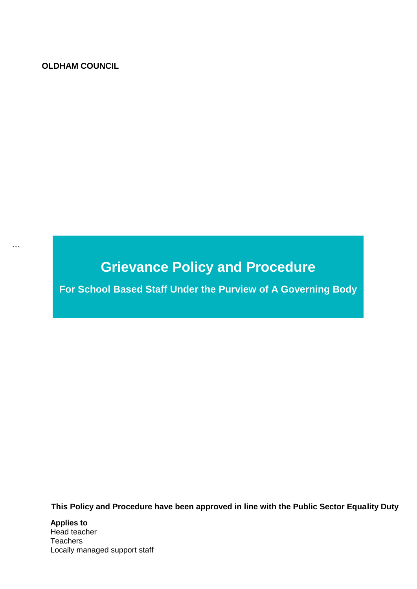#### **OLDHAM COUNCIL**

 $\ddot{\phantom{a}}$ 

# **Grievance Policy and Procedure**

**For School Based Staff Under the Purview of A Governing Body**

 **This Policy and Procedure have been approved in line with the Public Sector Equality Duty**

**Applies to**  Head teacher **Teachers** Locally managed support staff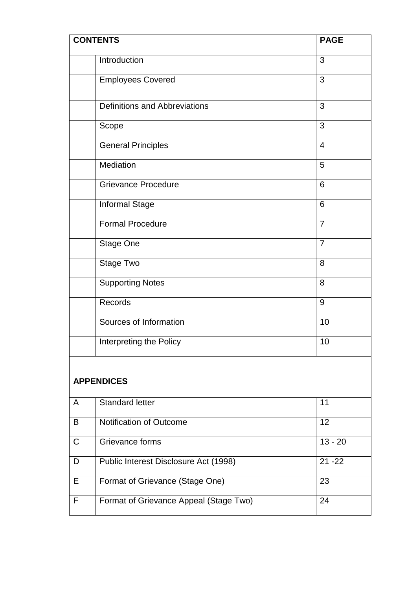|             | <b>CONTENTS</b>                        | <b>PAGE</b>    |  |  |  |  |  |  |
|-------------|----------------------------------------|----------------|--|--|--|--|--|--|
|             | Introduction                           | 3              |  |  |  |  |  |  |
|             | <b>Employees Covered</b>               | 3              |  |  |  |  |  |  |
|             | <b>Definitions and Abbreviations</b>   | 3              |  |  |  |  |  |  |
|             | Scope                                  | 3              |  |  |  |  |  |  |
|             | <b>General Principles</b>              | $\overline{4}$ |  |  |  |  |  |  |
|             | Mediation                              | 5              |  |  |  |  |  |  |
|             | <b>Grievance Procedure</b>             | 6              |  |  |  |  |  |  |
|             | Informal Stage                         | 6              |  |  |  |  |  |  |
|             | <b>Formal Procedure</b>                | $\overline{7}$ |  |  |  |  |  |  |
|             | <b>Stage One</b>                       | $\overline{7}$ |  |  |  |  |  |  |
|             | Stage Two                              | 8              |  |  |  |  |  |  |
|             | <b>Supporting Notes</b>                | 8              |  |  |  |  |  |  |
|             | Records                                | 9              |  |  |  |  |  |  |
|             | Sources of Information                 | 10             |  |  |  |  |  |  |
|             | Interpreting the Policy                | 10             |  |  |  |  |  |  |
|             |                                        |                |  |  |  |  |  |  |
|             | <b>APPENDICES</b>                      |                |  |  |  |  |  |  |
| A           | <b>Standard letter</b>                 | 11             |  |  |  |  |  |  |
| B           | Notification of Outcome<br>12          |                |  |  |  |  |  |  |
| $\mathsf C$ | Grievance forms                        | $13 - 20$      |  |  |  |  |  |  |
| D           | Public Interest Disclosure Act (1998)  | $21 - 22$      |  |  |  |  |  |  |
| Е           | Format of Grievance (Stage One)        | 23             |  |  |  |  |  |  |
| F           | Format of Grievance Appeal (Stage Two) | 24             |  |  |  |  |  |  |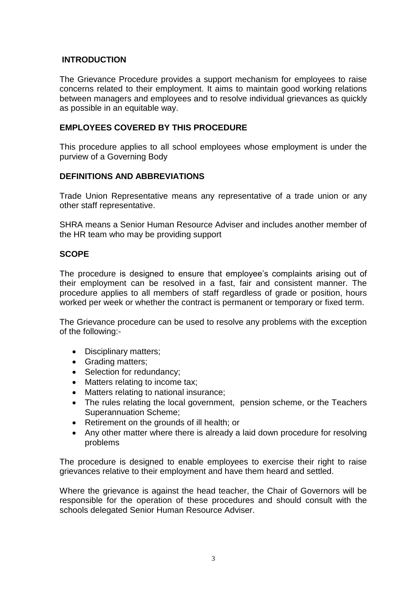#### **INTRODUCTION**

The Grievance Procedure provides a support mechanism for employees to raise concerns related to their employment. It aims to maintain good working relations between managers and employees and to resolve individual grievances as quickly as possible in an equitable way.

#### **EMPLOYEES COVERED BY THIS PROCEDURE**

This procedure applies to all school employees whose employment is under the purview of a Governing Body

#### **DEFINITIONS AND ABBREVIATIONS**

Trade Union Representative means any representative of a trade union or any other staff representative.

SHRA means a Senior Human Resource Adviser and includes another member of the HR team who may be providing support

#### **SCOPE**

The procedure is designed to ensure that employee's complaints arising out of their employment can be resolved in a fast, fair and consistent manner. The procedure applies to all members of staff regardless of grade or position, hours worked per week or whether the contract is permanent or temporary or fixed term.

The Grievance procedure can be used to resolve any problems with the exception of the following:-

- Disciplinary matters;
- Grading matters;
- Selection for redundancy;
- Matters relating to income tax;
- Matters relating to national insurance;
- The rules relating the local government, pension scheme, or the Teachers Superannuation Scheme;
- Retirement on the grounds of ill health; or
- Any other matter where there is already a laid down procedure for resolving problems

The procedure is designed to enable employees to exercise their right to raise grievances relative to their employment and have them heard and settled.

Where the grievance is against the head teacher, the Chair of Governors will be responsible for the operation of these procedures and should consult with the schools delegated Senior Human Resource Adviser.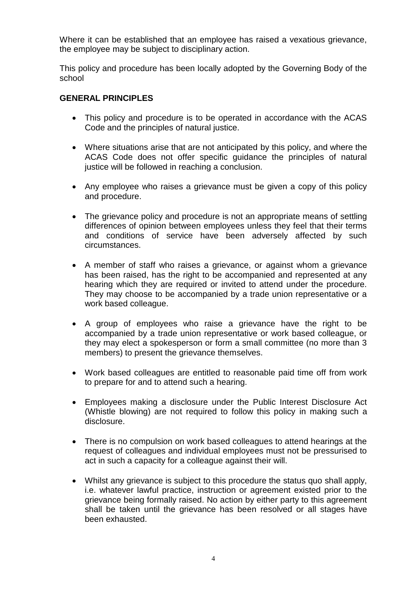Where it can be established that an employee has raised a vexatious grievance, the employee may be subject to disciplinary action.

This policy and procedure has been locally adopted by the Governing Body of the school

#### **GENERAL PRINCIPLES**

- This policy and procedure is to be operated in accordance with the ACAS Code and the principles of natural justice.
- Where situations arise that are not anticipated by this policy, and where the ACAS Code does not offer specific guidance the principles of natural justice will be followed in reaching a conclusion.
- Any employee who raises a grievance must be given a copy of this policy and procedure.
- The grievance policy and procedure is not an appropriate means of settling differences of opinion between employees unless they feel that their terms and conditions of service have been adversely affected by such circumstances.
- A member of staff who raises a grievance, or against whom a grievance has been raised, has the right to be accompanied and represented at any hearing which they are required or invited to attend under the procedure. They may choose to be accompanied by a trade union representative or a work based colleague.
- A group of employees who raise a grievance have the right to be accompanied by a trade union representative or work based colleague, or they may elect a spokesperson or form a small committee (no more than 3 members) to present the grievance themselves.
- Work based colleagues are entitled to reasonable paid time off from work to prepare for and to attend such a hearing.
- Employees making a disclosure under the Public Interest Disclosure Act (Whistle blowing) are not required to follow this policy in making such a disclosure.
- There is no compulsion on work based colleagues to attend hearings at the request of colleagues and individual employees must not be pressurised to act in such a capacity for a colleague against their will.
- Whilst any grievance is subject to this procedure the status quo shall apply, i.e. whatever lawful practice, instruction or agreement existed prior to the grievance being formally raised. No action by either party to this agreement shall be taken until the grievance has been resolved or all stages have been exhausted.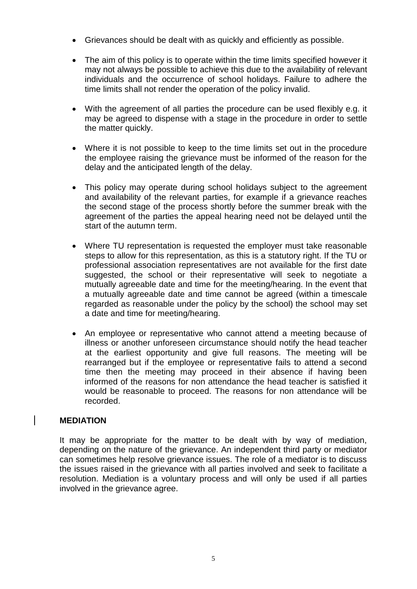- Grievances should be dealt with as quickly and efficiently as possible.
- The aim of this policy is to operate within the time limits specified however it may not always be possible to achieve this due to the availability of relevant individuals and the occurrence of school holidays. Failure to adhere the time limits shall not render the operation of the policy invalid.
- With the agreement of all parties the procedure can be used flexibly e.g. it may be agreed to dispense with a stage in the procedure in order to settle the matter quickly.
- Where it is not possible to keep to the time limits set out in the procedure the employee raising the grievance must be informed of the reason for the delay and the anticipated length of the delay.
- This policy may operate during school holidays subject to the agreement and availability of the relevant parties, for example if a grievance reaches the second stage of the process shortly before the summer break with the agreement of the parties the appeal hearing need not be delayed until the start of the autumn term.
- Where TU representation is requested the employer must take reasonable steps to allow for this representation, as this is a statutory right. If the TU or professional association representatives are not available for the first date suggested, the school or their representative will seek to negotiate a mutually agreeable date and time for the meeting/hearing. In the event that a mutually agreeable date and time cannot be agreed (within a timescale regarded as reasonable under the policy by the school) the school may set a date and time for meeting/hearing.
- An employee or representative who cannot attend a meeting because of illness or another unforeseen circumstance should notify the head teacher at the earliest opportunity and give full reasons. The meeting will be rearranged but if the employee or representative fails to attend a second time then the meeting may proceed in their absence if having been informed of the reasons for non attendance the head teacher is satisfied it would be reasonable to proceed. The reasons for non attendance will be recorded.

#### **MEDIATION**

It may be appropriate for the matter to be dealt with by way of mediation, depending on the nature of the grievance. An independent third party or mediator can sometimes help resolve grievance issues. The role of a mediator is to discuss the issues raised in the grievance with all parties involved and seek to facilitate a resolution. Mediation is a voluntary process and will only be used if all parties involved in the grievance agree.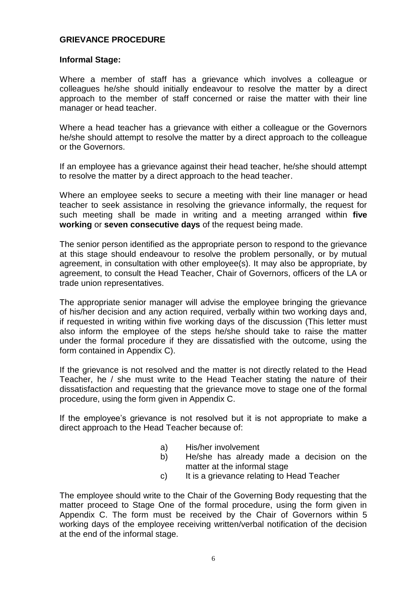#### **GRIEVANCE PROCEDURE**

#### **Informal Stage:**

Where a member of staff has a grievance which involves a colleague or colleagues he/she should initially endeavour to resolve the matter by a direct approach to the member of staff concerned or raise the matter with their line manager or head teacher.

Where a head teacher has a grievance with either a colleague or the Governors he/she should attempt to resolve the matter by a direct approach to the colleague or the Governors.

If an employee has a grievance against their head teacher, he/she should attempt to resolve the matter by a direct approach to the head teacher.

Where an employee seeks to secure a meeting with their line manager or head teacher to seek assistance in resolving the grievance informally, the request for such meeting shall be made in writing and a meeting arranged within **five working** or **seven consecutive days** of the request being made.

The senior person identified as the appropriate person to respond to the grievance at this stage should endeavour to resolve the problem personally, or by mutual agreement, in consultation with other employee(s). It may also be appropriate, by agreement, to consult the Head Teacher, Chair of Governors, officers of the LA or trade union representatives.

The appropriate senior manager will advise the employee bringing the grievance of his/her decision and any action required, verbally within two working days and, if requested in writing within five working days of the discussion (This letter must also inform the employee of the steps he/she should take to raise the matter under the formal procedure if they are dissatisfied with the outcome, using the form contained in Appendix C).

If the grievance is not resolved and the matter is not directly related to the Head Teacher, he / she must write to the Head Teacher stating the nature of their dissatisfaction and requesting that the grievance move to stage one of the formal procedure, using the form given in Appendix C.

If the employee's grievance is not resolved but it is not appropriate to make a direct approach to the Head Teacher because of:

- a) His/her involvement
- b) He/she has already made a decision on the matter at the informal stage
- c) It is a grievance relating to Head Teacher

The employee should write to the Chair of the Governing Body requesting that the matter proceed to Stage One of the formal procedure, using the form given in Appendix C. The form must be received by the Chair of Governors within 5 working days of the employee receiving written/verbal notification of the decision at the end of the informal stage.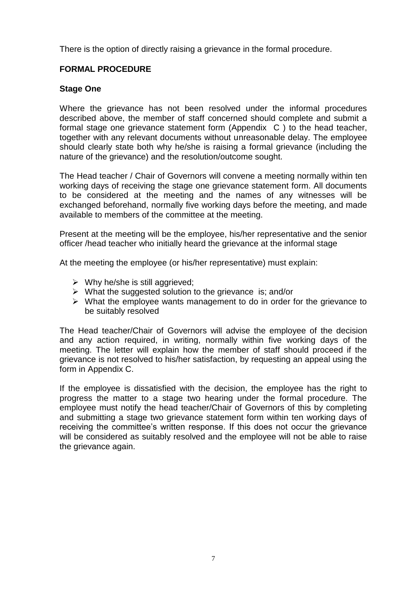There is the option of directly raising a grievance in the formal procedure.

# **FORMAL PROCEDURE**

#### **Stage One**

Where the grievance has not been resolved under the informal procedures described above, the member of staff concerned should complete and submit a formal stage one grievance statement form (Appendix C ) to the head teacher, together with any relevant documents without unreasonable delay. The employee should clearly state both why he/she is raising a formal grievance (including the nature of the grievance) and the resolution/outcome sought.

The Head teacher / Chair of Governors will convene a meeting normally within ten working days of receiving the stage one grievance statement form. All documents to be considered at the meeting and the names of any witnesses will be exchanged beforehand, normally five working days before the meeting, and made available to members of the committee at the meeting.

Present at the meeting will be the employee, his/her representative and the senior officer /head teacher who initially heard the grievance at the informal stage

At the meeting the employee (or his/her representative) must explain:

- $\triangleright$  Why he/she is still aggrieved:
- $\triangleright$  What the suggested solution to the grievance is; and/or
- $\triangleright$  What the employee wants management to do in order for the grievance to be suitably resolved

The Head teacher/Chair of Governors will advise the employee of the decision and any action required, in writing, normally within five working days of the meeting. The letter will explain how the member of staff should proceed if the grievance is not resolved to his/her satisfaction, by requesting an appeal using the form in Appendix C.

If the employee is dissatisfied with the decision, the employee has the right to progress the matter to a stage two hearing under the formal procedure. The employee must notify the head teacher/Chair of Governors of this by completing and submitting a stage two grievance statement form within ten working days of receiving the committee's written response. If this does not occur the grievance will be considered as suitably resolved and the employee will not be able to raise the grievance again.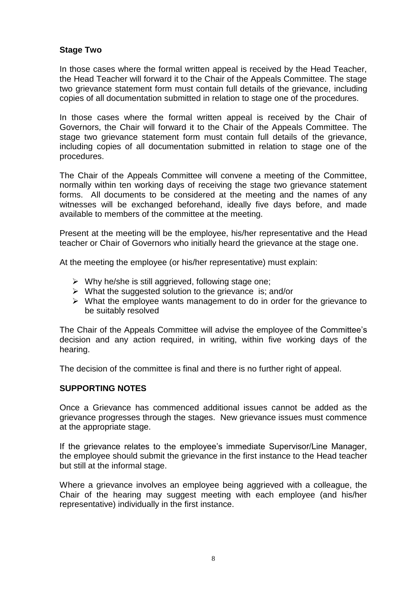#### **Stage Two**

In those cases where the formal written appeal is received by the Head Teacher, the Head Teacher will forward it to the Chair of the Appeals Committee. The stage two grievance statement form must contain full details of the grievance, including copies of all documentation submitted in relation to stage one of the procedures.

In those cases where the formal written appeal is received by the Chair of Governors, the Chair will forward it to the Chair of the Appeals Committee. The stage two grievance statement form must contain full details of the grievance, including copies of all documentation submitted in relation to stage one of the procedures.

The Chair of the Appeals Committee will convene a meeting of the Committee, normally within ten working days of receiving the stage two grievance statement forms. All documents to be considered at the meeting and the names of any witnesses will be exchanged beforehand, ideally five days before, and made available to members of the committee at the meeting.

Present at the meeting will be the employee, his/her representative and the Head teacher or Chair of Governors who initially heard the grievance at the stage one.

At the meeting the employee (or his/her representative) must explain:

- $\triangleright$  Why he/she is still aggrieved, following stage one;
- $\triangleright$  What the suggested solution to the grievance is; and/or
- $\triangleright$  What the employee wants management to do in order for the grievance to be suitably resolved

The Chair of the Appeals Committee will advise the employee of the Committee's decision and any action required, in writing, within five working days of the hearing.

The decision of the committee is final and there is no further right of appeal.

#### **SUPPORTING NOTES**

Once a Grievance has commenced additional issues cannot be added as the grievance progresses through the stages. New grievance issues must commence at the appropriate stage.

If the grievance relates to the employee's immediate Supervisor/Line Manager, the employee should submit the grievance in the first instance to the Head teacher but still at the informal stage.

Where a grievance involves an employee being aggrieved with a colleague, the Chair of the hearing may suggest meeting with each employee (and his/her representative) individually in the first instance.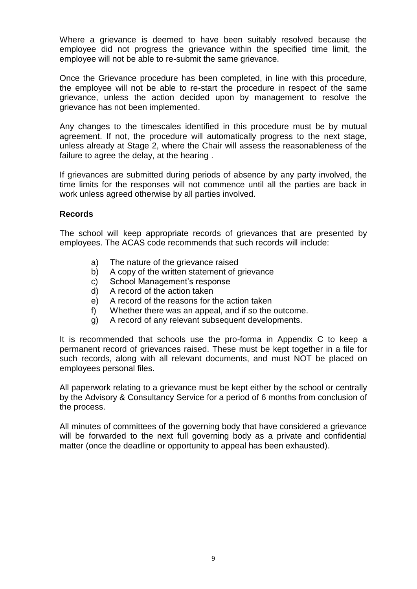Where a grievance is deemed to have been suitably resolved because the employee did not progress the grievance within the specified time limit, the employee will not be able to re-submit the same grievance.

Once the Grievance procedure has been completed, in line with this procedure, the employee will not be able to re-start the procedure in respect of the same grievance, unless the action decided upon by management to resolve the grievance has not been implemented.

Any changes to the timescales identified in this procedure must be by mutual agreement. If not, the procedure will automatically progress to the next stage, unless already at Stage 2, where the Chair will assess the reasonableness of the failure to agree the delay, at the hearing .

If grievances are submitted during periods of absence by any party involved, the time limits for the responses will not commence until all the parties are back in work unless agreed otherwise by all parties involved.

#### **Records**

The school will keep appropriate records of grievances that are presented by employees. The ACAS code recommends that such records will include:

- a) The nature of the grievance raised
- b) A copy of the written statement of grievance
- c) School Management's response
- d) A record of the action taken
- e) A record of the reasons for the action taken
- f) Whether there was an appeal, and if so the outcome.
- g) A record of any relevant subsequent developments.

It is recommended that schools use the pro-forma in Appendix C to keep a permanent record of grievances raised. These must be kept together in a file for such records, along with all relevant documents, and must NOT be placed on employees personal files.

All paperwork relating to a grievance must be kept either by the school or centrally by the Advisory & Consultancy Service for a period of 6 months from conclusion of the process.

All minutes of committees of the governing body that have considered a grievance will be forwarded to the next full governing body as a private and confidential matter (once the deadline or opportunity to appeal has been exhausted).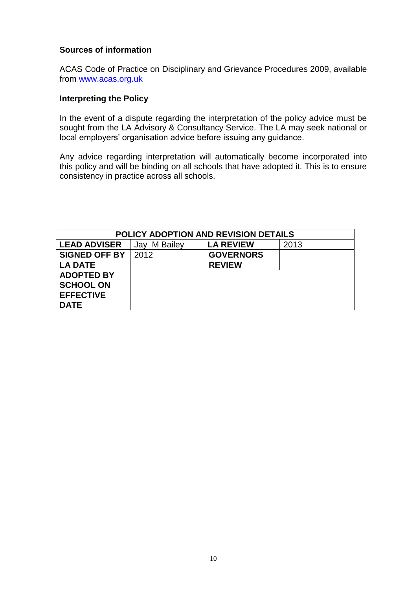#### **Sources of information**

ACAS Code of Practice on Disciplinary and Grievance Procedures 2009, available from [www.acas.org.uk](http://www.acas.org.uk/)

#### **Interpreting the Policy**

In the event of a dispute regarding the interpretation of the policy advice must be sought from the LA Advisory & Consultancy Service. The LA may seek national or local employers' organisation advice before issuing any guidance.

Any advice regarding interpretation will automatically become incorporated into this policy and will be binding on all schools that have adopted it. This is to ensure consistency in practice across all schools.

| <b>POLICY ADOPTION AND REVISION DETAILS</b> |                 |                  |      |  |  |  |  |  |
|---------------------------------------------|-----------------|------------------|------|--|--|--|--|--|
| <b>LEAD ADVISER</b>                         | M Bailey<br>Jay | <b>LA REVIEW</b> | 2013 |  |  |  |  |  |
| <b>SIGNED OFF BY</b>                        | 2012            | <b>GOVERNORS</b> |      |  |  |  |  |  |
| <b>LA DATE</b>                              |                 | <b>REVIEW</b>    |      |  |  |  |  |  |
| <b>ADOPTED BY</b>                           |                 |                  |      |  |  |  |  |  |
| <b>SCHOOL ON</b>                            |                 |                  |      |  |  |  |  |  |
| <b>EFFECTIVE</b>                            |                 |                  |      |  |  |  |  |  |
| <b>DATE</b>                                 |                 |                  |      |  |  |  |  |  |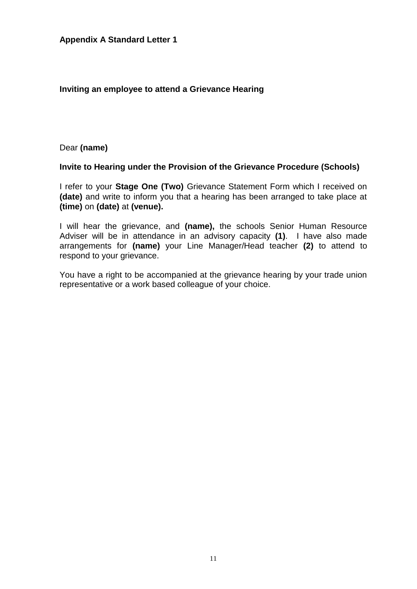#### **Inviting an employee to attend a Grievance Hearing**

Dear **(name)**

#### **Invite to Hearing under the Provision of the Grievance Procedure (Schools)**

I refer to your **Stage One (Two)** Grievance Statement Form which I received on **(date)** and write to inform you that a hearing has been arranged to take place at **(time)** on **(date)** at **(venue).**

I will hear the grievance, and **(name),** the schools Senior Human Resource Adviser will be in attendance in an advisory capacity **(1)**. I have also made arrangements for **(name)** your Line Manager/Head teacher **(2)** to attend to respond to your grievance.

You have a right to be accompanied at the grievance hearing by your trade union representative or a work based colleague of your choice.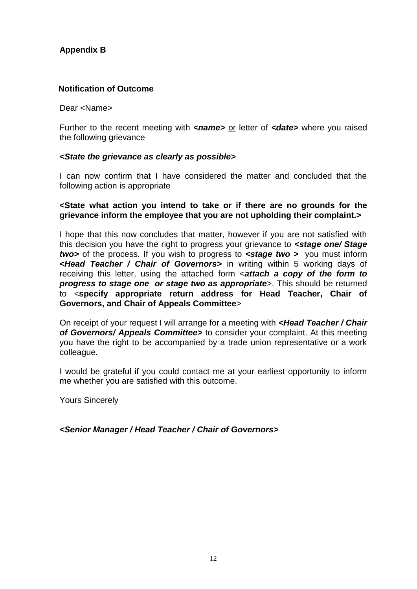## **Appendix B**

#### **Notification of Outcome**

Dear <Name>

Further to the recent meeting with **<name>** or letter of **<date>** where you raised the following grievance

#### *<State the grievance as clearly as possible>*

I can now confirm that I have considered the matter and concluded that the following action is appropriate

#### **<State what action you intend to take or if there are no grounds for the grievance inform the employee that you are not upholding their complaint.>**

I hope that this now concludes that matter, however if you are not satisfied with this decision you have the right to progress your grievance to *<stage one/ Stage two>* of the process. If you wish to progress to *<stage two >* you must inform *<Head Teacher / Chair of Governors>* in writing within 5 working days of receiving this letter, using the attached form <*attach a copy of the form to progress to stage one or stage two as appropriate*>. This should be returned to <**specify appropriate return address for Head Teacher, Chair of Governors, and Chair of Appeals Committee**>

On receipt of your request I will arrange for a meeting with *<Head Teacher / Chair of Governors/ Appeals Committee>* to consider your complaint. At this meeting you have the right to be accompanied by a trade union representative or a work colleague.

I would be grateful if you could contact me at your earliest opportunity to inform me whether you are satisfied with this outcome.

Yours Sincerely

*<Senior Manager / Head Teacher / Chair of Governors>*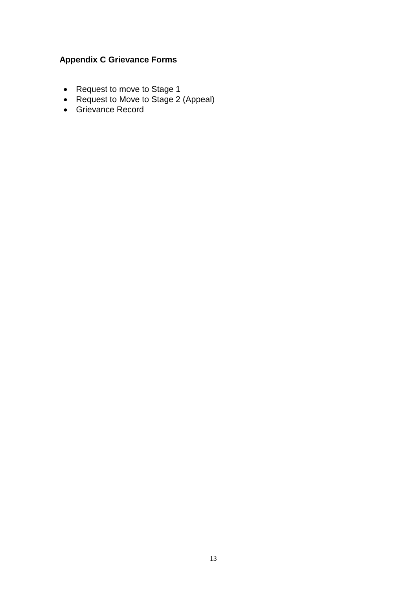# **Appendix C Grievance Forms**

- Request to move to Stage 1
- Request to Move to Stage 2 (Appeal)
- Grievance Record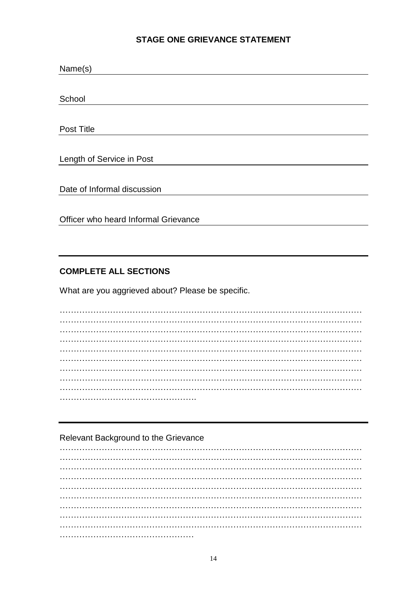#### **STAGE ONE GRIEVANCE STATEMENT**

| Name(s)                              |  |  |  |  |  |  |  |
|--------------------------------------|--|--|--|--|--|--|--|
|                                      |  |  |  |  |  |  |  |
| School                               |  |  |  |  |  |  |  |
|                                      |  |  |  |  |  |  |  |
| Post Title                           |  |  |  |  |  |  |  |
|                                      |  |  |  |  |  |  |  |
| Length of Service in Post            |  |  |  |  |  |  |  |
|                                      |  |  |  |  |  |  |  |
| Date of Informal discussion          |  |  |  |  |  |  |  |
|                                      |  |  |  |  |  |  |  |
| Officer who heard Informal Grievance |  |  |  |  |  |  |  |

#### **COMPLETE ALL SECTIONS**

What are you aggrieved about? Please be specific.

#### Relevant Background to the Grievance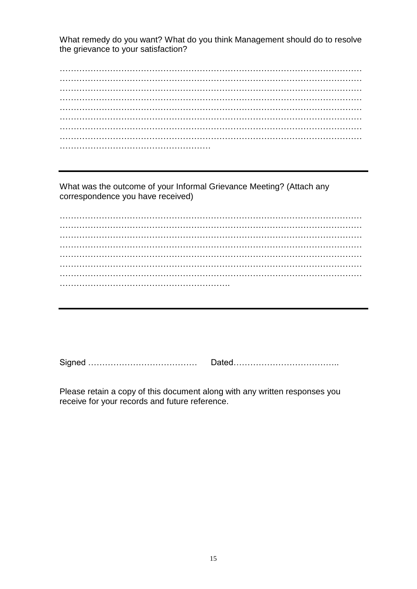What remedy do you want? What do you think Management should do to resolve the grievance to your satisfaction?

 $\mathcal{L}^{\text{max}}$ ……………………………………………………………………………………………… ………………………………………………………………………………………………  $\mathcal{L}^{\text{max}}$ ……………………………………………………………………………………………… ……………………………………………………………………………………………… ……………………………………………………………………………………………… ……………………………………………………………………………………………… ………………………………………………

What was the outcome of your Informal Grievance Meeting? (Attach any correspondence you have received)

……………………………………………………………………………………………… ………………………………………………………………………………………………  $\mathcal{L}^{\text{max}}$  $\mathcal{L}^{\text{max}}$ ……………………………………………………………………………………………… ……………………………………………………………………………………………… ……………………………………………………………………………………………… …………………………………………………….

Signed ………………………………… Dated………………………………..

Please retain a copy of this document along with any written responses you receive for your records and future reference.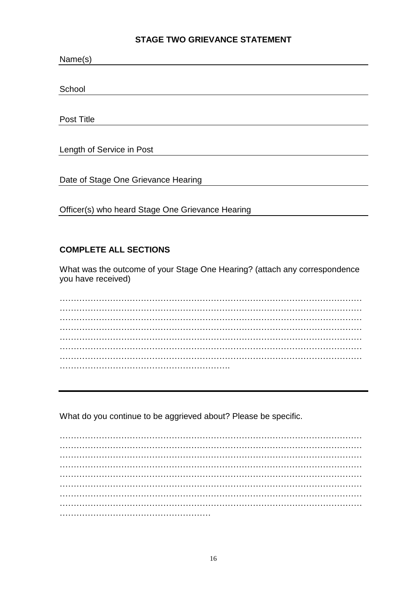#### **STAGE TWO GRIEVANCE STATEMENT**

| Name(s)                                          |
|--------------------------------------------------|
|                                                  |
| School                                           |
|                                                  |
| Post Title                                       |
|                                                  |
| Length of Service in Post                        |
|                                                  |
| Date of Stage One Grievance Hearing              |
|                                                  |
| Officer(s) who heard Stage One Grievance Hearing |

# **COMPLETE ALL SECTIONS**

What was the outcome of your Stage One Hearing? (attach any correspondence you have received)

 $\mathcal{L}^{\text{max}}_{\text{max}}$ ……………………………………………………………………………………………… ……………………………………………………………………………………………… ……………………………………………………………………………………………… ……………………………………………………………………………………………… ……………………………………………………………………………………………… ……………………………………………………………………………………………… …………………………………………………….

What do you continue to be aggrieved about? Please be specific.

……………………………………………………………………………………………… ……………………………………………………………………………………………… ……………………………………………………………………………………………… ……………………………………………………………………………………………… ……………………………………………………………………………………………… ……………………………………………………………………………………………… ……………………………………………………………………………………………… ……………………………………………………………………………………………… ………………………………………………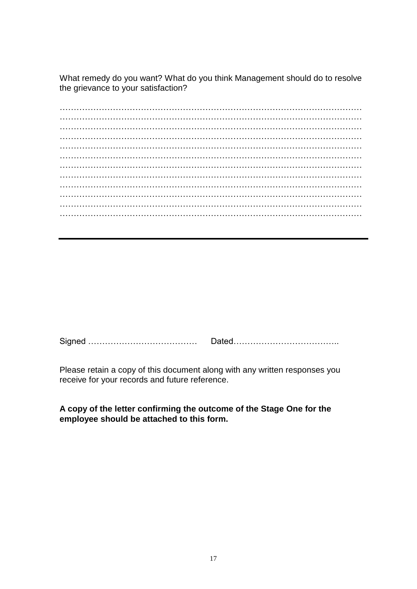What remedy do you want? What do you think Management should do to resolve the grievance to your satisfaction?

……………………………………………………………………………………………… ……………………………………………………………………………………………… ……………………………………………………………………………………………… ……………………………………………………………………………………………… ……………………………………………………………………………………………… ……………………………………………………………………………………………… ……………………………………………………………………………………………… ……………………………………………………………………………………………… ……………………………………………………………………………………………… ……………………………………………………………………………………………… ……………………………………………………………………………………………… ………………………………………………………………………………………………

Signed ………………………………… Dated………………………………..

Please retain a copy of this document along with any written responses you receive for your records and future reference.

**A copy of the letter confirming the outcome of the Stage One for the employee should be attached to this form.**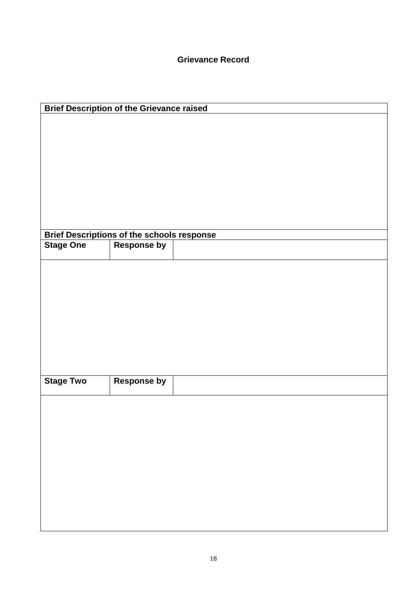| <b>Brief Description of the Grievance raised</b> |                                                                         |  |  |  |  |  |  |  |  |  |
|--------------------------------------------------|-------------------------------------------------------------------------|--|--|--|--|--|--|--|--|--|
|                                                  |                                                                         |  |  |  |  |  |  |  |  |  |
|                                                  |                                                                         |  |  |  |  |  |  |  |  |  |
|                                                  |                                                                         |  |  |  |  |  |  |  |  |  |
|                                                  |                                                                         |  |  |  |  |  |  |  |  |  |
|                                                  |                                                                         |  |  |  |  |  |  |  |  |  |
|                                                  |                                                                         |  |  |  |  |  |  |  |  |  |
|                                                  |                                                                         |  |  |  |  |  |  |  |  |  |
|                                                  |                                                                         |  |  |  |  |  |  |  |  |  |
| <b>Stage One</b>                                 | <b>Brief Descriptions of the schools response</b><br><b>Response by</b> |  |  |  |  |  |  |  |  |  |
|                                                  |                                                                         |  |  |  |  |  |  |  |  |  |
|                                                  |                                                                         |  |  |  |  |  |  |  |  |  |
|                                                  |                                                                         |  |  |  |  |  |  |  |  |  |
|                                                  |                                                                         |  |  |  |  |  |  |  |  |  |
|                                                  |                                                                         |  |  |  |  |  |  |  |  |  |
|                                                  |                                                                         |  |  |  |  |  |  |  |  |  |
|                                                  |                                                                         |  |  |  |  |  |  |  |  |  |
|                                                  |                                                                         |  |  |  |  |  |  |  |  |  |
| <b>Stage Two</b>                                 | <b>Response by</b>                                                      |  |  |  |  |  |  |  |  |  |
|                                                  |                                                                         |  |  |  |  |  |  |  |  |  |
|                                                  |                                                                         |  |  |  |  |  |  |  |  |  |
|                                                  |                                                                         |  |  |  |  |  |  |  |  |  |
|                                                  |                                                                         |  |  |  |  |  |  |  |  |  |
|                                                  |                                                                         |  |  |  |  |  |  |  |  |  |
|                                                  |                                                                         |  |  |  |  |  |  |  |  |  |
|                                                  |                                                                         |  |  |  |  |  |  |  |  |  |
|                                                  |                                                                         |  |  |  |  |  |  |  |  |  |
|                                                  |                                                                         |  |  |  |  |  |  |  |  |  |
|                                                  |                                                                         |  |  |  |  |  |  |  |  |  |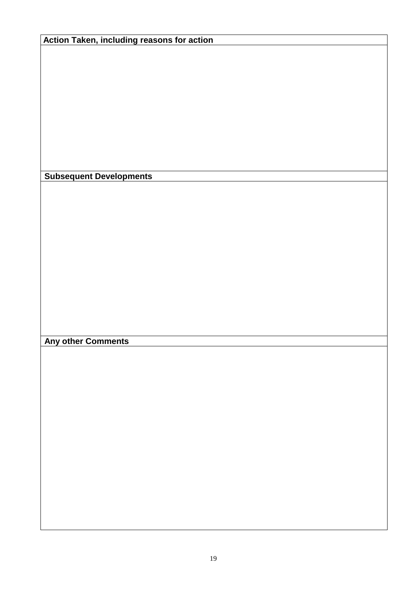**Action Taken, including reasons for action**

**Subsequent Developments**

**Any other Comments**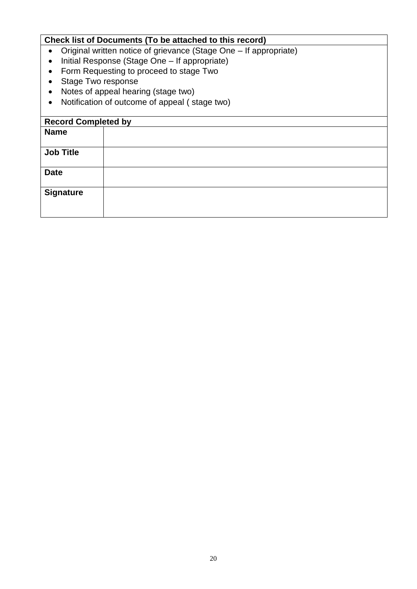# **Check list of Documents (To be attached to this record)** Original written notice of grievance (Stage One – If appropriate) • Initial Response (Stage One – If appropriate) • Form Requesting to proceed to stage Two • Stage Two response • Notes of appeal hearing (stage two) Notification of outcome of appeal ( stage two) **Record Completed by Name Job Title Date Signature**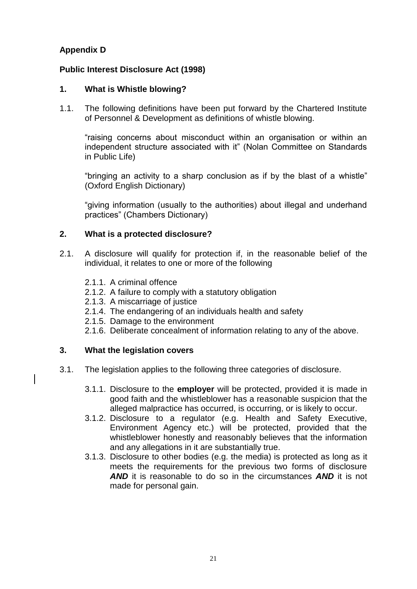# **Appendix D**

# **Public Interest Disclosure Act (1998)**

### **1. What is Whistle blowing?**

1.1. The following definitions have been put forward by the Chartered Institute of Personnel & Development as definitions of whistle blowing.

"raising concerns about misconduct within an organisation or within an independent structure associated with it" (Nolan Committee on Standards in Public Life)

"bringing an activity to a sharp conclusion as if by the blast of a whistle" (Oxford English Dictionary)

"giving information (usually to the authorities) about illegal and underhand practices" (Chambers Dictionary)

#### **2. What is a protected disclosure?**

- 2.1. A disclosure will qualify for protection if, in the reasonable belief of the individual, it relates to one or more of the following
	- 2.1.1. A criminal offence
	- 2.1.2. A failure to comply with a statutory obligation
	- 2.1.3. A miscarriage of justice
	- 2.1.4. The endangering of an individuals health and safety
	- 2.1.5. Damage to the environment
	- 2.1.6. Deliberate concealment of information relating to any of the above.

#### **3. What the legislation covers**

- 3.1. The legislation applies to the following three categories of disclosure.
	- 3.1.1. Disclosure to the **employer** will be protected, provided it is made in good faith and the whistleblower has a reasonable suspicion that the alleged malpractice has occurred, is occurring, or is likely to occur.
	- 3.1.2. Disclosure to a regulator (e.g. Health and Safety Executive, Environment Agency etc.) will be protected, provided that the whistleblower honestly and reasonably believes that the information and any allegations in it are substantially true.
	- 3.1.3. Disclosure to other bodies (e.g. the media) is protected as long as it meets the requirements for the previous two forms of disclosure *AND* it is reasonable to do so in the circumstances *AND* it is not made for personal gain.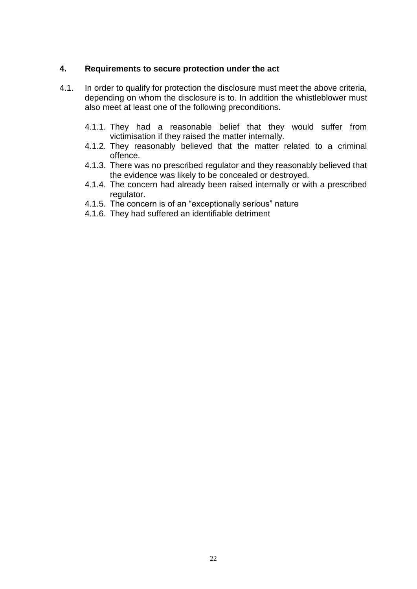#### **4. Requirements to secure protection under the act**

- 4.1. In order to qualify for protection the disclosure must meet the above criteria, depending on whom the disclosure is to. In addition the whistleblower must also meet at least one of the following preconditions.
	- 4.1.1. They had a reasonable belief that they would suffer from victimisation if they raised the matter internally.
	- 4.1.2. They reasonably believed that the matter related to a criminal offence.
	- 4.1.3. There was no prescribed regulator and they reasonably believed that the evidence was likely to be concealed or destroyed.
	- 4.1.4. The concern had already been raised internally or with a prescribed regulator.
	- 4.1.5. The concern is of an "exceptionally serious" nature
	- 4.1.6. They had suffered an identifiable detriment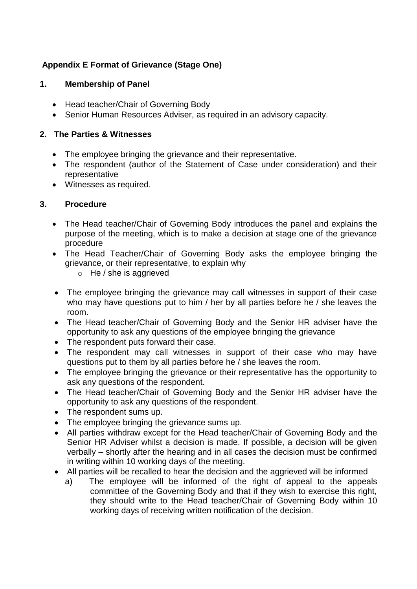# **Appendix E Format of Grievance (Stage One)**

#### **1. Membership of Panel**

- Head teacher/Chair of Governing Body
- Senior Human Resources Adviser, as required in an advisory capacity.

#### **2. The Parties & Witnesses**

- The employee bringing the grievance and their representative.
- The respondent (author of the Statement of Case under consideration) and their representative
- Witnesses as required.

#### **3. Procedure**

- The Head teacher/Chair of Governing Body introduces the panel and explains the purpose of the meeting, which is to make a decision at stage one of the grievance procedure
- The Head Teacher/Chair of Governing Body asks the employee bringing the grievance, or their representative, to explain why
	- $\circ$  He / she is aggrieved
- The employee bringing the grievance may call witnesses in support of their case who may have questions put to him / her by all parties before he / she leaves the room.
- The Head teacher/Chair of Governing Body and the Senior HR adviser have the opportunity to ask any questions of the employee bringing the grievance
- The respondent puts forward their case.
- The respondent may call witnesses in support of their case who may have questions put to them by all parties before he / she leaves the room.
- The employee bringing the grievance or their representative has the opportunity to ask any questions of the respondent.
- The Head teacher/Chair of Governing Body and the Senior HR adviser have the opportunity to ask any questions of the respondent.
- The respondent sums up.
- The employee bringing the grievance sums up.
- All parties withdraw except for the Head teacher/Chair of Governing Body and the Senior HR Adviser whilst a decision is made. If possible, a decision will be given verbally – shortly after the hearing and in all cases the decision must be confirmed in writing within 10 working days of the meeting.
- All parties will be recalled to hear the decision and the aggrieved will be informed
	- a) The employee will be informed of the right of appeal to the appeals committee of the Governing Body and that if they wish to exercise this right, they should write to the Head teacher/Chair of Governing Body within 10 working days of receiving written notification of the decision.